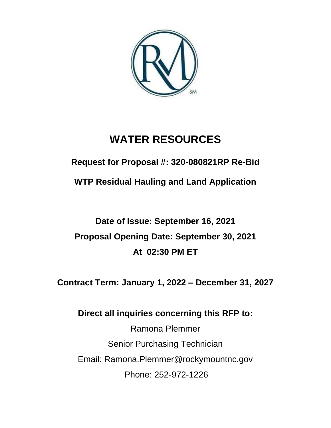

# **WATER RESOURCES**

**Request for Proposal #: 320-080821RP Re-Bid**

**WTP Residual Hauling and Land Application**

# **Date of Issue: September 16, 2021 Proposal Opening Date: September 30, 2021 At 02:30 PM ET**

**Contract Term: January 1, 2022 – December 31, 2027**

# **Direct all inquiries concerning this RFP to:**

Ramona Plemmer Senior Purchasing Technician Email: Ramona.Plemmer@rockymountnc.gov Phone: 252-972-1226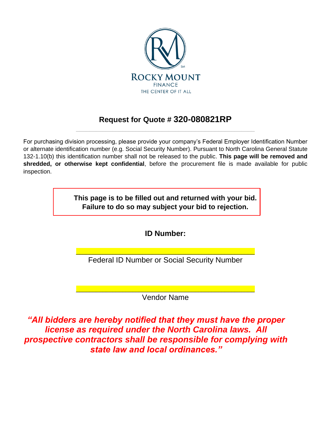

## **Request for Quote # 320-080821RP** \_\_\_\_\_\_\_\_\_\_\_\_\_\_\_\_\_\_\_\_\_\_\_\_\_\_\_\_\_\_\_\_\_\_\_\_\_\_\_\_\_\_\_\_\_\_\_\_\_\_\_\_\_\_

For purchasing division processing, please provide your company's Federal Employer Identification Number or alternate identification number (e.g. Social Security Number). Pursuant to North Carolina General Statute 132-1.10(b) this identification number shall not be released to the public. **This page will be removed and shredded, or otherwise kept confidential**, before the procurement file is made available for public inspection.

> **This page is to be filled out and returned with your bid. Failure to do so may subject your bid to rejection.**

> > **ID Number:**

\_\_\_\_\_\_\_\_\_\_\_\_\_\_\_\_\_\_\_\_\_\_\_\_\_\_\_\_\_\_\_\_\_\_\_\_\_\_\_\_\_\_\_\_\_\_\_\_\_\_\_\_\_\_ Federal ID Number or Social Security Number

\_\_\_\_\_\_\_\_\_\_\_\_\_\_\_\_\_\_\_\_\_\_\_\_\_\_\_\_\_\_\_\_\_\_\_\_\_\_\_\_\_\_\_\_\_\_\_\_\_\_\_\_\_\_ Vendor Name

*"All bidders are hereby notified that they must have the proper license as required under the North Carolina laws. All prospective contractors shall be responsible for complying with state law and local ordinances."*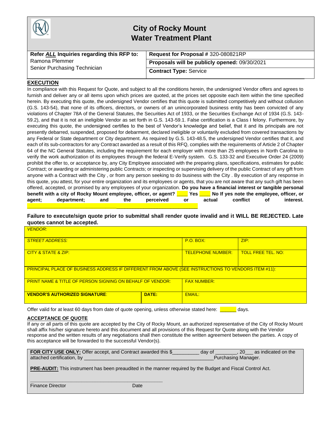

# **City of Rocky Mount Water Treatment Plant**

| Refer ALL Inquiries regarding this RFP to: | Request for Proposal # 320-080821RP           |
|--------------------------------------------|-----------------------------------------------|
| Ramona Plemmer                             | Proposals will be publicly opened: 09/30/2021 |
| Senior Purchasing Technician               | <b>Contract Type: Service</b>                 |

#### **EXECUTION**

In compliance with this Request for Quote, and subject to all the conditions herein, the undersigned Vendor offers and agrees to furnish and deliver any or all items upon which prices are quoted, at the prices set opposite each item within the time specified herein. By executing this quote, the undersigned Vendor certifies that this quote is submitted competitively and without collusion (G.S. 143-54), that none of its officers, directors, or owners of an unincorporated business entity has been convicted of any violations of Chapter 78A of the General Statutes, the Securities Act of 1933, or the Securities Exchange Act of 1934 (G.S. 143- 59.2), and that it is not an ineligible Vendor as set forth in G.S. 143-59.1. False certification is a Class I felony. Furthermore, by executing this quote, the undersigned certifies to the best of Vendor's knowledge and belief, that it and its principals are not presently debarred, suspended, proposed for debarment, declared ineligible or voluntarily excluded from covered transactions by any Federal or State department or City department. As required by G.S. 143-48.5, the undersigned Vendor certifies that it, and each of its sub-contractors for any Contract awarded as a result of this RFQ, complies with the requirements of Article 2 of Chapter 64 of the NC General Statutes, including the requirement for each employer with more than 25 employees in North Carolina to verify the work authorization of its employees through the federal E-Verify system. G.S. 133-32 and Executive Order 24 (2009) prohibit the offer to, or acceptance by, any City Employee associated with the preparing plans, specifications, estimates for public Contract; or awarding or administering public Contracts; or inspecting or supervising delivery of the public Contract of any gift from anyone with a Contract with the City , or from any person seeking to do business with the City . By execution of any response in this quote, you attest, for your entire organization and its employees or agents, that you are not aware that any such gift has been offered, accepted, or promised by any employees of your organization. **Do you have a financial interest or tangible personal benefit with a city of Rocky Mount employee, officer, or agent? \_\_\_\_ Yes \_\_\_\_ No If yes note the employee, officer, or agent; department; and the perceived or actual conflict of interest. \_\_\_\_\_\_\_\_\_\_\_\_\_\_\_\_\_\_\_\_\_\_\_\_\_\_\_\_\_\_\_\_\_**\_\_\_\_\_\_\_\_\_\_\_\_\_\_\_\_\_\_\_\_\_\_\_\_\_\_\_\_\_\_

#### **Failure to execute/sign quote prior to submittal shall render quote invalid and it WILL BE REJECTED. Late quotes cannot be accepted.**

| <b>VENDOR:</b>                                                                                             |                          |                           |      |  |
|------------------------------------------------------------------------------------------------------------|--------------------------|---------------------------|------|--|
| <b>STREET ADDRESS:</b>                                                                                     |                          | <b>P.O. BOX:</b>          | ZIP: |  |
| <b>CITY &amp; STATE &amp; ZIP:</b>                                                                         | <b>TELEPHONE NUMBER:</b> | <b>TOLL FREE TEL, NO:</b> |      |  |
| <b>PRINCIPAL PLACE OF BUSINESS ADDRESS IF DIFFERENT FROM ABOVE (SEE INSTRUCTIONS TO VENDORS ITEM #11):</b> |                          |                           |      |  |
| <b>PRINT NAME &amp; TITLE OF PERSON SIGNING ON BEHALF OF VENDOR:</b>                                       |                          | <b>FAX NUMBER:</b>        |      |  |
| <b>VENDOR'S AUTHORIZED SIGNATURE:</b>                                                                      | DATE:                    | <b>EMAIL:</b>             |      |  |

Offer valid for at least 60 days from date of quote opening, unless otherwise stated here: **witch** days.

#### **ACCEPTANCE OF QUOTE**

If any or all parts of this quote are accepted by the City of Rocky Mount, an authorized representative of the City of Rocky Mount shall affix his/her signature hereto and this document and all provisions of this Request for Quote along with the Vendor response and the written results of any negotiations shall then constitute the written agreement between the parties. A copy of this acceptance will be forwarded to the successful Vendor(s).

| FOR CITY USE ONLY: Offer accept, and Contract awarded this \$ | day of             | 20 as indicated on the |
|---------------------------------------------------------------|--------------------|------------------------|
| attached certification, by                                    | Purchasing Manager |                        |

**PRE-AUDIT:** This instrument has been preaudited in the manner required by the Budget and Fiscal Control Act.

**Finance Director** Date Date

**\_\_\_\_\_\_\_\_\_\_\_\_\_\_\_\_\_\_\_\_\_\_\_\_\_\_\_\_\_\_\_\_\_\_\_\_\_\_\_\_\_\_\_\_\_\_\_\_\_**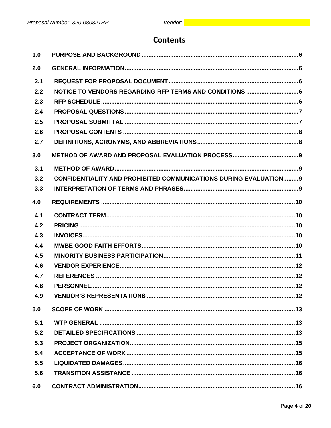# **Contents**

| 1.0 |                                                                         |
|-----|-------------------------------------------------------------------------|
| 2.0 |                                                                         |
| 2.1 |                                                                         |
| 2.2 |                                                                         |
| 2.3 |                                                                         |
| 2.4 |                                                                         |
| 2.5 |                                                                         |
| 2.6 |                                                                         |
| 2.7 |                                                                         |
| 3.0 |                                                                         |
| 3.1 |                                                                         |
| 3.2 | <b>CONFIDENTIALITY AND PROHIBITED COMMUNICATIONS DURING EVALUATION9</b> |
| 3.3 |                                                                         |
| 4.0 |                                                                         |
| 4.1 |                                                                         |
| 4.2 |                                                                         |
| 4.3 |                                                                         |
| 4.4 |                                                                         |
| 4.5 |                                                                         |
| 4.6 |                                                                         |
| 4.7 |                                                                         |
| 4.8 |                                                                         |
| 4.9 |                                                                         |
| 5.0 |                                                                         |
| 5.1 |                                                                         |
| 5.2 |                                                                         |
| 5.3 |                                                                         |
| 5.4 |                                                                         |
| 5.5 |                                                                         |
| 5.6 |                                                                         |
| 6.0 |                                                                         |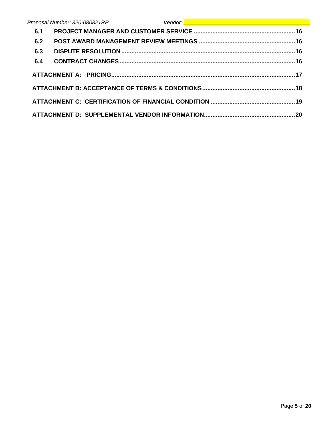|     | Proposal Number: 320-080821RP | Vendor: <u>New Albert (1989)</u> |  |
|-----|-------------------------------|----------------------------------|--|
| 6.1 |                               |                                  |  |
| 6.2 |                               |                                  |  |
| 6.3 |                               |                                  |  |
| 6.4 |                               |                                  |  |
|     |                               |                                  |  |
|     |                               |                                  |  |
|     |                               |                                  |  |
|     |                               |                                  |  |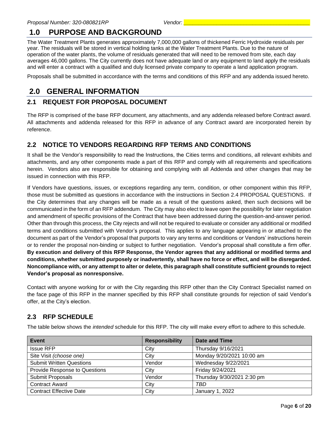# <span id="page-5-0"></span>**1.0 PURPOSE AND BACKGROUND**

The Water Treatment Plants generates approximately 7,000,000 gallons of thickened Ferric Hydroxide residuals per year. The residuals will be stored in vertical holding tanks at the Water Treatment Plants. Due to the nature of operation of the water plants, the volume of residuals generated that will need to be removed from site, each day averages 46,000 gallons. The City currently does not have adequate land or any equipment to land apply the residuals and will enter a contract with a qualified and duly licensed private company to operate a land application program.

Proposals shall be submitted in accordance with the terms and conditions of this RFP and any addenda issued hereto.

# <span id="page-5-1"></span>**2.0 GENERAL INFORMATION**

#### <span id="page-5-2"></span>**2.1 REQUEST FOR PROPOSAL DOCUMENT**

The RFP is comprised of the base RFP document, any attachments, and any addenda released before Contract award. All attachments and addenda released for this RFP in advance of any Contract award are incorporated herein by reference.

### <span id="page-5-3"></span>**2.2 NOTICE TO VENDORS REGARDING RFP TERMS AND CONDITIONS**

It shall be the Vendor's responsibility to read the Instructions, the Cities terms and conditions, all relevant exhibits and attachments, and any other components made a part of this RFP and comply with all requirements and specifications herein. Vendors also are responsible for obtaining and complying with all Addenda and other changes that may be issued in connection with this RFP.

If Vendors have questions, issues, or exceptions regarding any term, condition, or other component within this RFP, those must be submitted as questions in accordance with the instructions in Section 2.4 PROPOSAL QUESTIONS. If the City determines that any changes will be made as a result of the questions asked, then such decisions will be communicated in the form of an RFP addendum. The City may also elect to leave open the possibility for later negotiation and amendment of specific provisions of the Contract that have been addressed during the question-and-answer period. Other than through this process, the City rejects and will not be required to evaluate or consider any additional or modified terms and conditions submitted with Vendor's proposal. This applies to any language appearing in or attached to the document as part of the Vendor's proposal that purports to vary any terms and conditions or Vendors' instructions herein or to render the proposal non-binding or subject to further negotiation. Vendor's proposal shall constitute a firm offer. **By execution and delivery of this RFP Response, the Vendor agrees that any additional or modified terms and conditions, whether submitted purposely or inadvertently, shall have no force or effect, and will be disregarded. Noncompliance with, or any attempt to alter or delete, this paragraph shall constitute sufficient grounds to reject Vendor's proposal as nonresponsive.**

Contact with anyone working for or with the City regarding this RFP other than the City Contract Specialist named on the face page of this RFP in the manner specified by this RFP shall constitute grounds for rejection of said Vendor's offer, at the City's election.

#### <span id="page-5-4"></span>**2.3 RFP SCHEDULE**

The table below shows the *intended* schedule for this RFP. The city will make every effort to adhere to this schedule.

| Event                           | <b>Responsibility</b> | Date and Time              |
|---------------------------------|-----------------------|----------------------------|
| <b>Issue RFP</b>                | City                  | Thursday 9/16/2021         |
| Site Visit (choose one)         | City                  | Monday 9/20/2021 10:00 am  |
| <b>Submit Written Questions</b> | Vendor                | Wednesday 9/22/2021        |
| Provide Response to Questions   | City                  | Friday 9/24/2021           |
| Submit Proposals                | Vendor                | Thursday 9/30/2021 2:30 pm |
| <b>Contract Award</b>           | City                  | TBD                        |
| <b>Contract Effective Date</b>  | City                  | January 1, 2022            |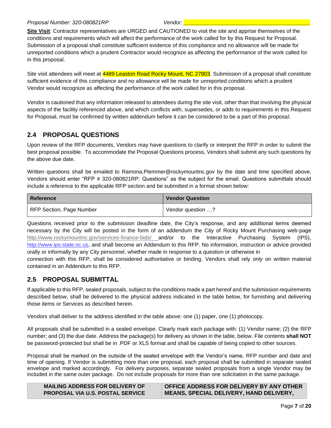#### *Proposal Number: 320-080821RP Vendor: \_\_\_\_\_\_\_\_\_\_\_\_\_\_\_\_\_\_\_\_\_\_\_\_\_\_\_\_\_\_\_\_\_\_\_\_\_\_\_\_\_\_*

**Site Visit**: Contractor representatives are URGED and CAUTIONED to visit the site and apprise themselves of the conditions and requirements which will affect the performance of the work called for by this Request for Proposal. Submission of a proposal shall constitute sufficient evidence of this compliance and no allowance will be made for unreported conditions which a prudent Contractor would recognize as affecting the performance of the work called for in this proposal.

Site visit attendees will meet at 4489 Leaston Road Rocky Mount, NC 27803. Submission of a proposal shall constitute sufficient evidence of this compliance and no allowance will be made for unreported conditions which a prudent Vendor would recognize as affecting the performance of the work called for in this proposal.

Vendor is cautioned that any information released to attendees during the site visit, other than that involving the physical aspects of the facility referenced above, and which conflicts with, supersedes, or adds to requirements in this Request for Proposal, must be confirmed by written addendum before it can be considered to be a part of this proposal.

#### <span id="page-6-0"></span>**2.4 PROPOSAL QUESTIONS**

Upon review of the RFP documents, Vendors may have questions to clarify or interpret the RFP in order to submit the best proposal possible. To accommodate the Proposal Questions process, Vendors shall submit any such questions by the above due date.

Written questions shall be emailed to Ramona.Plemmer@rockymountnc.gov by the date and time specified above. Vendors should enter "RFP # 320-080821RP: Questions" as the subject for the email. Questions submittals should include a reference to the applicable RFP section and be submitted in a format shown below:

| Reference                | <b>Vendor Question</b> |  |  |
|--------------------------|------------------------|--|--|
| RFP Section, Page Number | Vendor question ?      |  |  |

Questions received prior to the submission deadline date, the City's response, and any additional terms deemed necessary by the City will be posted in the form of an addendum the City of Rocky Mount Purchasing web-page <http://www.rockymountnc.gov/services-finance-bids/> and/or to the Interactive Purchasing System (IPS), [http://www.ips.state.nc.us,](http://www.ips.state.nc.us/) and shall become an Addendum to this RFP. No information, instruction or advice provided orally or informally by any City personnel, whether made in response to a question or otherwise in

connection with this RFP, shall be considered authoritative or binding. Vendors shall rely *only* on written material contained in an Addendum to this RFP.

#### <span id="page-6-1"></span>**2.5 PROPOSAL SUBMITTAL**

If applicable to this RFP, sealed proposals, subject to the conditions made a part hereof and the submission requirements described below, shall be delivered to the physical address indicated in the table below, for furnishing and delivering those items or Services as described herein.

Vendors shall deliver to the address identified in the table above: one (1) paper, one (1) photocopy.

All proposals shall be submitted in a sealed envelope. Clearly mark each package with: (1) Vendor name; (2) the RFP number; and (3) the due date. Address the package(s) for delivery as shown in the table, below. File contents **shall NOT** be password-protected but shall be in .PDF or XLS format and shall be capable of being copied to other sources.

Proposal shall be marked on the outside of the sealed envelope with the Vendor's name, RFP number and date and time of opening. If Vendor is submitting more than one proposal, each proposal shall be submitted in separate sealed envelope and marked accordingly. For delivery purposes, separate sealed proposals from a single Vendor may be included in the same outer package. Do not include proposals for more than one solicitation in the same package.

| <b>MAILING ADDRESS FOR DELIVERY OF</b>  | OFFICE ADDRESS FOR DELIVERY BY ANY OTHER       |
|-----------------------------------------|------------------------------------------------|
| <b>PROPOSAL VIA U.S. POSTAL SERVICE</b> | <b>MEANS, SPECIAL DELIVERY, HAND DELIVERY,</b> |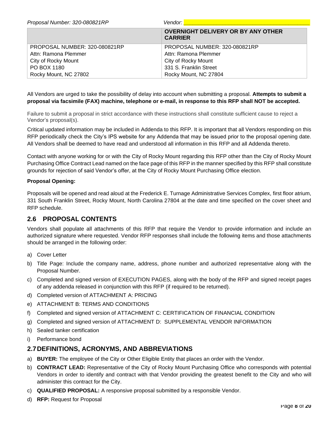| Proposal Number: 320-080821RP | Vendor:                                                     |
|-------------------------------|-------------------------------------------------------------|
|                               | <b>OVERNIGHT DELIVERY OR BY ANY OTHER</b><br><b>CARRIER</b> |
| PROPOSAL NUMBER: 320-080821RP | PROPOSAL NUMBER: 320-080821RP                               |
| Attn: Ramona Plemmer          | Attn: Ramona Plemmer                                        |
| City of Rocky Mount           | City of Rocky Mount                                         |
| PO BOX 1180                   | 331 S. Franklin Street                                      |
| Rocky Mount, NC 27802         | Rocky Mount, NC 27804                                       |

All Vendors are urged to take the possibility of delay into account when submitting a proposal. **Attempts to submit a proposal via facsimile (FAX) machine, telephone or e-mail, in response to this RFP shall NOT be accepted.** 

Failure to submit a proposal in strict accordance with these instructions shall constitute sufficient cause to reject a Vendor's proposal(s).

Critical updated information may be included in Addenda to this RFP. It is important that all Vendors responding on this RFP periodically check the City's IPS website for any Addenda that may be issued prior to the proposal opening date. All Vendors shall be deemed to have read and understood all information in this RFP and all Addenda thereto.

Contact with anyone working for or with the City of Rocky Mount regarding this RFP other than the City of Rocky Mount Purchasing Office Contract Lead named on the face page of this RFP in the manner specified by this RFP shall constitute grounds for rejection of said Vendor's offer, at the City of Rocky Mount Purchasing Office election.

#### **Proposal Opening:**

Proposals will be opened and read aloud at the Frederick E. Turnage Administrative Services Complex, first floor atrium, 331 South Franklin Street, Rocky Mount, North Carolina 27804 at the date and time specified on the cover sheet and RFP schedule.

#### <span id="page-7-0"></span>**2.6 PROPOSAL CONTENTS**

Vendors shall populate all attachments of this RFP that require the Vendor to provide information and include an authorized signature where requested. Vendor RFP responses shall include the following items and those attachments should be arranged in the following order:

- a) Cover Letter
- b) Title Page: Include the company name, address, phone number and authorized representative along with the Proposal Number.
- c) Completed and signed version of EXECUTION PAGES, along with the body of the RFP and signed receipt pages of any addenda released in conjunction with this RFP (if required to be returned).
- d) Completed version of ATTACHMENT A: PRICING
- e) ATTACHMENT B: TERMS AND CONDITIONS
- f) Completed and signed version of ATTACHMENT C: CERTIFICATION OF FINANCIAL CONDITION
- g) Completed and signed version of ATTACHMENT D: SUPPLEMENTAL VENDOR INFORMATION
- h) Sealed tanker certification
- i) Performance bond

#### <span id="page-7-1"></span>**2.7DEFINITIONS, ACRONYMS, AND ABBREVIATIONS**

- a) **BUYER:** The employee of the City or Other Eligible Entity that places an order with the Vendor.
- b) **CONTRACT LEAD:** Representative of the City of Rocky Mount Purchasing Office who corresponds with potential Vendors in order to identify and contract with that Vendor providing the greatest benefit to the City and who will administer this contract for the City.
- c) **QUALIFIED PROPOSAL:** A responsive proposal submitted by a responsible Vendor.
- d) **RFP:** Request for Proposal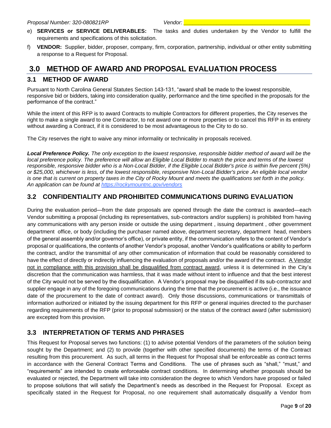- e) **SERVICES or SERVICE DELIVERABLES:** The tasks and duties undertaken by the Vendor to fulfill the requirements and specifications of this solicitation.
- f) **VENDOR:** Supplier, bidder, proposer, company, firm, corporation, partnership, individual or other entity submitting a response to a Request for Proposal.

# <span id="page-8-0"></span>**3.0 METHOD OF AWARD AND PROPOSAL EVALUATION PROCESS**

#### <span id="page-8-1"></span>**3.1 METHOD OF AWARD**

Pursuant to North Carolina General Statutes Section 143-131, "award shall be made to the lowest responsible, responsive bid or bidders, taking into consideration quality, performance and the time specified in the proposals for the performance of the contract."

While the intent of this RFP is to award Contracts to multiple Contractors for different properties, the City reserves the right to make a single award to one Contractor, to not award one or more properties or to cancel this RFP in its entirety without awarding a Contract, if it is considered to be most advantageous to the City to do so.

The City reserves the right to waive any minor informality or technicality in proposals received.

*Local Preference Policy. The only exception to the lowest responsive, responsible bidder method of award will be the local preference policy. The preference will allow an Eligible Local Bidder to match the price and terms of the lowest responsible, responsive bidder who is a Non-Local Bidder, if the Eligible Local Bidder's price is within five percent (5%) or \$25,000, whichever is less, of the lowest responsible, responsive Non-Local Bidder's price .An eligible local vendor is one that is current on property taxes in the City of Rocky Mount and meets the qualifications set forth in the policy. An application can be found at https://rockymountnc.gov/vendors*

#### <span id="page-8-2"></span>**3.2 CONFIDENTIALITY AND PROHIBITED COMMUNICATIONS DURING EVALUATION**

During the evaluation period—from the date proposals are opened through the date the contract is awarded—each Vendor submitting a proposal (including its representatives, sub-contractors and/or suppliers) is prohibited from having any communications with any person inside or outside the using department , issuing department , other government department office, or body (including the purchaser named above, department secretary, department head, members of the general assembly and/or governor's office), or private entity, if the communication refers to the content of Vendor's proposal or qualifications, the contents of another Vendor's proposal, another Vendor's qualifications or ability to perform the contract, and/or the transmittal of any other communication of information that could be reasonably considered to have the effect of directly or indirectly influencing the evaluation of proposals and/or the award of the contract. A Vendor not in compliance with this provision shall be disqualified from contract award, unless it is determined in the City's discretion that the communication was harmless, that it was made without intent to influence and that the best interest of the City would not be served by the disqualification. A Vendor's proposal may be disqualified if its sub-contractor and supplier engage in any of the foregoing communications during the time that the procurement is active (i.e., the issuance date of the procurement to the date of contract award). Only those discussions, communications or transmittals of information authorized or initiated by the issuing department for this RFP or general inquiries directed to the purchaser regarding requirements of the RFP (prior to proposal submission) or the status of the contract award (after submission) are excepted from this provision.

#### <span id="page-8-3"></span>**3.3 INTERPRETATION OF TERMS AND PHRASES**

This Request for Proposal serves two functions: (1) to advise potential Vendors of the parameters of the solution being sought by the Department; and (2) to provide (together with other specified documents) the terms of the Contract resulting from this procurement. As such, all terms in the Request for Proposal shall be enforceable as contract terms in accordance with the General Contract Terms and Conditions. The use of phrases such as "shall," "must," and "requirements" are intended to create enforceable contract conditions. In determining whether proposals should be evaluated or rejected, the Department will take into consideration the degree to which Vendors have proposed or failed to propose solutions that will satisfy the Department's needs as described in the Request for Proposal. Except as specifically stated in the Request for Proposal, no one requirement shall automatically disqualify a Vendor from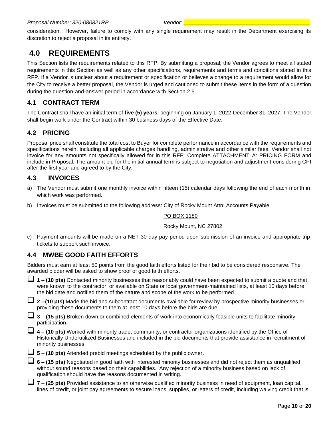consideration. However, failure to comply with any single requirement may result in the Department exercising its discretion to reject a proposal in its entirety.

# <span id="page-9-0"></span>**4.0 REQUIREMENTS**

This Section lists the requirements related to this RFP. By submitting a proposal, the Vendor agrees to meet all stated requirements in this Section as well as any other specifications, requirements and terms and conditions stated in this RFP. If a Vendor is unclear about a requirement or specification or believes a change to a requirement would allow for the City to receive a better proposal, the Vendor is urged and cautioned to submit these items in the form of a question during the question-and-answer period in accordance with Section 2.5.

### <span id="page-9-1"></span>**4.1 CONTRACT TERM**

The Contract shall have an initial term of **five (5) years**, beginning on January 1, 2022-December 31, 2027. The Vendor shall begin work under the Contract within 30 business days of the Effective Date.

#### <span id="page-9-2"></span>**4.2 PRICING**

Proposal price shall constitute the total cost to Buyer for complete performance in accordance with the requirements and specifications herein, including all applicable charges handling, administrative and other similar fees. Vendor shall not invoice for any amounts not specifically allowed for in this RFP. Complete ATTACHMENT A: PRICING FORM and include in Proposal. The amount bid for the initial annual term is subject to negotiation and adjustment considering CPI after the first year and agreed to by the City.

#### <span id="page-9-3"></span>**4.3 INVOICES**

- a) The Vendor must submit one monthly invoice within fifteen (15) calendar days following the end of each month in which work was performed.
- b) Invoices must be submitted to the following address: City of Rocky Mount Attn: Accounts Payable

#### PO BOX 1180

#### Rocky Mount, NC 27802

c) Payment amounts will be made on a NET 30 day pay period upon submission of an invoice and appropriate trip tickets to support such invoice.

#### <span id="page-9-4"></span>**4.4 MWBE GOOD FAITH EFFORTS**

Bidders must earn at least 50 points from the good faith efforts listed for their bid to be considered responsive. The awarded bidder will be asked to show proof of good faith efforts.

❑ **1 – (10 pts)** Contacted minority businesses that reasonably could have been expected to submit a quote and that were known to the contractor, or available on State or local government-maintained lists, at least 10 days before the bid date and notified them of the nature and scope of the work to be performed.

❑ **<sup>2</sup> --(10 pts)** Made the bid and subcontract documents available for review by prospective minority businesses or providing these documents to them at least 10 days before the bids are due.

|  | $\Box$ 3 – (15 pts) Broken down or combined elements of work into economically feasible units to facilitate minority |  |  |  |  |
|--|----------------------------------------------------------------------------------------------------------------------|--|--|--|--|
|  | participation.                                                                                                       |  |  |  |  |

| 4 – (10 pts) Worked with minority trade, community, or contractor organizations identified by the Office of       |
|-------------------------------------------------------------------------------------------------------------------|
| Historically Underutilized Businesses and included in the bid documents that provide assistance in recruitment of |
| minority businesses.                                                                                              |

❑ **<sup>5</sup>** – **(10 pts)** Attended prebid meetings scheduled by the public owner.

❑ **<sup>6</sup> – (15 pts)** Negotiated in good faith with interested minority businesses and did not reject them as unqualified without sound reasons based on their capabilities. Any rejection of a minority business based on lack of qualification should have the reasons documented in writing.

| 7 – (25 pts) Provided assistance to an otherwise qualified minority business in need of equipment, loan capital,           |
|----------------------------------------------------------------------------------------------------------------------------|
| lines of credit, or joint pay agreements to secure loans, supplies, or letters of credit, including waiving credit that is |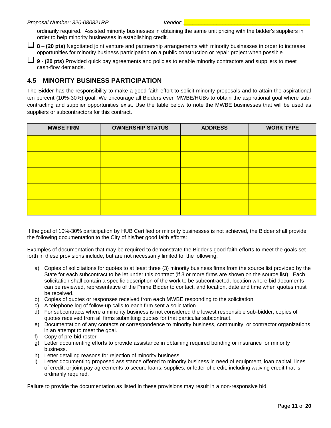ordinarily required. Assisted minority businesses in obtaining the same unit pricing with the bidder's suppliers in order to help minority businesses in establishing credit.

❑ **<sup>8</sup>** – **(20 pts)** Negotiated joint venture and partnership arrangements with minority businesses in order to increase opportunities for minority business participation on a public construction or repair project when possible.

❑ **<sup>9</sup>** - **(20 pts)** Provided quick pay agreements and policies to enable minority contractors and suppliers to meet cash-flow demands.

#### <span id="page-10-0"></span>**4.5 MINORITY BUSINESS PARTICIPATION**

The Bidder has the responsibility to make a good faith effort to solicit minority proposals and to attain the aspirational ten percent (10%-30%) goal. We encourage all Bidders even MWBE/HUBs to obtain the aspirational goal where subcontracting and supplier opportunities exist. Use the table below to note the MWBE businesses that will be used as suppliers or subcontractors for this contract.

| <b>MWBE FIRM</b> | <b>OWNERSHIP STATUS</b> | <b>ADDRESS</b> | <b>WORK TYPE</b> |
|------------------|-------------------------|----------------|------------------|
|                  |                         |                |                  |
|                  |                         |                |                  |
|                  |                         |                |                  |
|                  |                         |                |                  |
|                  |                         |                |                  |

If the goal of 10%-30% participation by HUB Certified or minority businesses is not achieved, the Bidder shall provide the following documentation to the City of his/her good faith efforts:

Examples of documentation that may be required to demonstrate the Bidder's good faith efforts to meet the goals set forth in these provisions include, but are not necessarily limited to, the following:

- a) Copies of solicitations for quotes to at least three (3) minority business firms from the source list provided by the State for each subcontract to be let under this contract (if 3 or more firms are shown on the source list). Each solicitation shall contain a specific description of the work to be subcontracted, location where bid documents can be reviewed, representative of the Prime Bidder to contact, and location, date and time when quotes must be received.
- b) Copies of quotes or responses received from each MWBE responding to the solicitation.
- c) A telephone log of follow-up calls to each firm sent a solicitation.
- d) For subcontracts where a minority business is not considered the lowest responsible sub-bidder, copies of quotes received from all firms submitting quotes for that particular subcontract.
- e) Documentation of any contacts or correspondence to minority business, community, or contractor organizations in an attempt to meet the goal.
- f) Copy of pre-bid roster
- g) Letter documenting efforts to provide assistance in obtaining required bonding or insurance for minority business.
- h) Letter detailing reasons for rejection of minority business.
- i) Letter documenting proposed assistance offered to minority business in need of equipment, loan capital, lines of credit, or joint pay agreements to secure loans, supplies, or letter of credit, including waiving credit that is ordinarily required.

Failure to provide the documentation as listed in these provisions may result in a non-responsive bid.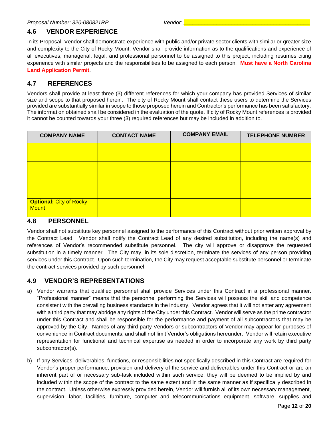#### <span id="page-11-0"></span>**4.6 VENDOR EXPERIENCE**

In its Proposal, Vendor shall demonstrate experience with public and/or private sector clients with similar or greater size and complexity to the City of Rocky Mount. Vendor shall provide information as to the qualifications and experience of all executives, managerial, legal, and professional personnel to be assigned to this project, including resumes citing experience with similar projects and the responsibilities to be assigned to each person. **Must have a North Carolina Land Application Permit**.

#### <span id="page-11-1"></span>**4.7 REFERENCES**

Vendors shall provide at least three (3) different references for which your company has provided Services of similar size and scope to that proposed herein. The city of Rocky Mount shall contact these users to determine the Services provided are substantially similar in scope to those proposed herein and Contractor's performance has been satisfactory. The information obtained shall be considered in the evaluation of the quote. If city of Rocky Mount references is provided it cannot be counted towards your three (3) required references but may be included in addition to.

| <b>COMPANY NAME</b>                            | <b>CONTACT NAME</b> | <b>COMPANY EMAIL</b> | <b>TELEPHONE NUMBER</b> |
|------------------------------------------------|---------------------|----------------------|-------------------------|
|                                                |                     |                      |                         |
|                                                |                     |                      |                         |
|                                                |                     |                      |                         |
| <b>Optional: City of Rocky</b><br><b>Mount</b> |                     |                      |                         |

#### <span id="page-11-2"></span>**4.8 PERSONNEL**

Vendor shall not substitute key personnel assigned to the performance of this Contract without prior written approval by the Contract Lead. Vendor shall notify the Contract Lead of any desired substitution, including the name(s) and references of Vendor's recommended substitute personnel. The city will approve or disapprove the requested substitution in a timely manner. The City may, in its sole discretion, terminate the services of any person providing services under this Contract. Upon such termination, the City may request acceptable substitute personnel or terminate the contract services provided by such personnel.

#### <span id="page-11-3"></span>**4.9 VENDOR'S REPRESENTATIONS**

- a) Vendor warrants that qualified personnel shall provide Services under this Contract in a professional manner. "Professional manner" means that the personnel performing the Services will possess the skill and competence consistent with the prevailing business standards in the industry. Vendor agrees that it will not enter any agreement with a third party that may abridge any rights of the City under this Contract. Vendor will serve as the prime contractor under this Contract and shall be responsible for the performance and payment of all subcontractors that may be approved by the City. Names of any third-party Vendors or subcontractors of Vendor may appear for purposes of convenience in Contract documents; and shall not limit Vendor's obligations hereunder. Vendor will retain executive representation for functional and technical expertise as needed in order to incorporate any work by third party subcontractor(s).
- b) If any Services, deliverables, functions, or responsibilities not specifically described in this Contract are required for Vendor's proper performance, provision and delivery of the service and deliverables under this Contract or are an inherent part of or necessary sub-task included within such service, they will be deemed to be implied by and included within the scope of the contract to the same extent and in the same manner as if specifically described in the contract. Unless otherwise expressly provided herein, Vendor will furnish all of its own necessary management, supervision, labor, facilities, furniture, computer and telecommunications equipment, software, supplies and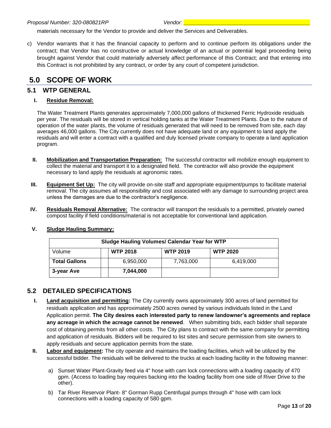materials necessary for the Vendor to provide and deliver the Services and Deliverables.

c) Vendor warrants that it has the financial capacity to perform and to continue perform its obligations under the contract; that Vendor has no constructive or actual knowledge of an actual or potential legal proceeding being brought against Vendor that could materially adversely affect performance of this Contract; and that entering into this Contract is not prohibited by any contract, or order by any court of competent jurisdiction.

# <span id="page-12-0"></span>**5.0 SCOPE OF WORK**

#### <span id="page-12-1"></span>**5.1 WTP GENERAL**

#### **I. Residue Removal:**

The Water Treatment Plants generates approximately 7,000,000 gallons of thickened Ferric Hydroxide residuals per year. The residuals will be stored in vertical holding tanks at the Water Treatment Plants. Due to the nature of operation of the water plants, the volume of residuals generated that will need to be removed from site, each day averages 46,000 gallons. The City currently does not have adequate land or any equipment to land apply the residuals and will enter a contract with a qualified and duly licensed private company to operate a land application program.

- **II. Mobilization and Transportation Preparation:** The successful contractor will mobilize enough equipment to collect the material and transport it to a designated field. The contractor will also provide the equipment necessary to land apply the residuals at agronomic rates.
- **III. Equipment Set Up:** The city will provide on-site staff and appropriate equipment/pumps to facilitate material removal. The city assumes all responsibility and cost associated with any damage to surrounding project area unless the damages are due to the contractor's negligence.
- **IV. Residuals Removal Alternative:** The contractor will transport the residuals to a permitted, privately owned compost facility if field conditions/material is not acceptable for conventional land application.

|                      | <b>Sludge Hauling Volumes/ Calendar Year for WTP</b> |                 |                 |
|----------------------|------------------------------------------------------|-----------------|-----------------|
| Volume               | <b>WTP 2018</b>                                      | <b>WTP 2019</b> | <b>WTP 2020</b> |
| <b>Total Gallons</b> | 6,950,000                                            | 7,763,000       | 6,419,000       |
| 3-year Ave           | 7,044,000                                            |                 |                 |

#### **V. Sludge Hauling Summary:**

#### <span id="page-12-2"></span>**5.2 DETAILED SPECIFICATIONS**

- **I. Land acquisition and permitting:** The City currently owns approximately 300 acres of land permitted for residuals application and has approximately 2500 acres owned by various individuals listed in the Land Application permit. **The City desires each interested party to renew landowner's agreements and replace any acreage in which the acreage cannot be renewed**. When submitting bids, each bidder shall separate cost of obtaining permits from all other costs. The City plans to contract with the same company for permitting and application of residuals. Bidders will be required to list sites and secure permission from site owners to apply residuals and secure application permits from the state.
- **II. Labor and equipment:** The city operate and maintains the loading facilities, which will be utilized by the successful bidder. The residuals will be delivered to the trucks at each loading facility in the following manner:
	- a) Sunset Water Plant-Gravity feed via 4" hose with cam lock connections with a loading capacity of 470 gpm. (Access to loading bay requires backing into the loading facility from one side of River Drive to the other).
	- b) Tar River Reservoir Plant- 8" Gorman Rupp Centrifugal pumps through 4" hose with cam lock connections with a loading capacity of 580 gpm.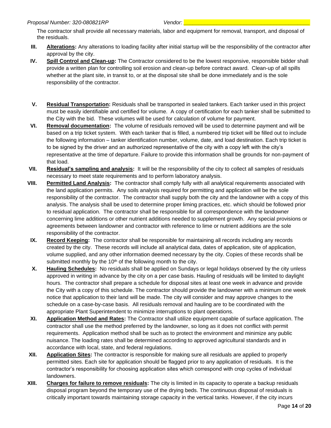The contractor shall provide all necessary materials, labor and equipment for removal, transport, and disposal of the residuals.

- **III. Alterations:** Any alterations to loading facility after initial startup will be the responsibility of the contractor after approval by the city.
- **IV. Spill Control and Clean-up:** The Contractor considered to be the lowest responsive, responsible bidder shall provide a written plan for controlling soil erosion and clean-up before contract award. Clean-up of all spills whether at the plant site, in transit to, or at the disposal site shall be done immediately and is the sole responsibility of the contractor.
- **V. Residual Transportation:** Residuals shall be transported in sealed tankers. Each tanker used in this project must be easily identifiable and certified for volume. A copy of certification for each tanker shall be submitted to the City with the bid. These volumes will be used for calculation of volume for payment.
- **VI. Removal documentation:** The volume of residuals removed will be used to determine payment and will be based on a trip ticket system. With each tanker that is filled, a numbered trip ticket will be filled out to include the following information – tanker identification number, volume, date, and load destination. Each trip ticket is to be signed by the driver and an authorized representative of the city with a copy left with the city's representative at the time of departure. Failure to provide this information shall be grounds for non-payment of that load.
- **VII. Residual's sampling and analysis:** It will be the responsibility of the city to collect all samples of residuals necessary to meet state requirements and to perform laboratory analysis.
- **VIII. Permitted Land Analysis:** The contractor shall comply fully with all analytical requirements associated with the land application permits. Any soils analysis required for permitting and application will be the sole responsibility of the contractor. The contractor shall supply both the city and the landowner with a copy of this analysis. The analysis shall be used to determine proper liming practices, etc. which should be followed prior to residual application. The contractor shall be responsible for all correspondence with the landowner concerning lime additions or other nutrient additions needed to supplement growth. Any special provisions or agreements between landowner and contractor with reference to lime or nutrient additions are the sole responsibility of the contractor.
- **IX. Record Keeping:** The contractor shall be responsible for maintaining all records including any records created by the city. These records will include all analytical data, dates of application, site of application, volume supplied, and any other information deemed necessary by the city. Copies of these records shall be submitted monthly by the 10<sup>th</sup> of the following month to the city.
- **X. Hauling Schedules:** No residuals shall be applied on Sundays or legal holidays observed by the city unless approved in writing in advance by the city on a per case basis. Hauling of residuals will be limited to daylight hours. The contractor shall prepare a schedule for disposal sites at least one week in advance and provide the City with a copy of this schedule. The contractor should provide the landowner with a minimum one week notice that application to their land will be made. The city will consider and may approve changes to the schedule on a case-by-case basis. All residuals removal and hauling are to be coordinated with the appropriate Plant Superintendent to minimize interruptions to plant operations.
- **XI. Application Method and Rates:** The Contractor shall utilize equipment capable of surface application. The contractor shall use the method preferred by the landowner, so long as it does not conflict with permit requirements. Application method shall be such as to protect the environment and minimize any public nuisance. The loading rates shall be determined according to approved agricultural standards and in accordance with local, state, and federal regulations.
- **XII. Application Sites:** The contractor is responsible for making sure all residuals are applied to properly permitted sites. Each site for application should be flagged prior to any application of residuals. It is the contractor's responsibility for choosing application sites which correspond with crop cycles of individual landowners.
- **XIII. Charges for failure to remove residuals:** The city is limited in its capacity to operate a backup residuals disposal program beyond the temporary use of the drying beds. The continuous disposal of residuals is critically important towards maintaining storage capacity in the vertical tanks. However, if the city incurs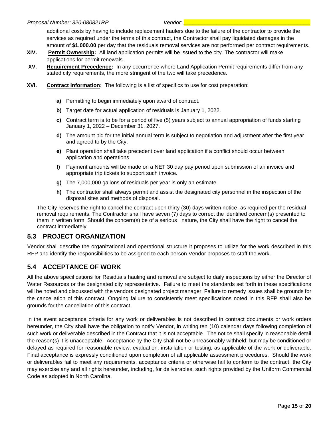additional costs by having to include replacement haulers due to the failure of the contractor to provide the services as required under the terms of this contract, the Contractor shall pay liquidated damages in the amount of **\$1,000.00** per day that the residuals removal services are not performed per contract requirements.

- **XIV. Permit Ownership:** All land application permits will be issued to the city. The contractor will make applications for permit renewals.
- **XV. Requirement Precedence:** In any occurrence where Land Application Permit requirements differ from any stated city requirements, the more stringent of the two will take precedence.
- **XVI. Contract Information:** The following is a list of specifics to use for cost preparation:
	- **a)** Permitting to begin immediately upon award of contract.
	- **b)** Target date for actual application of residuals is January 1, 2022.
	- **c)** Contract term is to be for a period of five (5) years subject to annual appropriation of funds starting January 1, 2022 – December 31, 2027.
	- **d)** The amount bid for the initial annual term is subject to negotiation and adjustment after the first year and agreed to by the City.
	- **e)** Plant operation shall take precedent over land application if a conflict should occur between application and operations.
	- **f)** Payment amounts will be made on a NET 30 day pay period upon submission of an invoice and appropriate trip tickets to support such invoice.
	- **g)** The 7,000,000 gallons of residuals per year is only an estimate.
	- **h)** The contractor shall always permit and assist the designated city personnel in the inspection of the disposal sites and methods of disposal.

The City reserves the right to cancel the contract upon thirty (30) days written notice, as required per the residual removal requirements. The Contractor shall have seven (7) days to correct the identified concern(s) presented to them in written form. Should the concern(s) be of a serious nature, the City shall have the right to cancel the contract immediately

#### <span id="page-14-0"></span>**5.3 PROJECT ORGANIZATION**

Vendor shall describe the organizational and operational structure it proposes to utilize for the work described in this RFP and identify the responsibilities to be assigned to each person Vendor proposes to staff the work.

#### <span id="page-14-1"></span>**5.4 ACCEPTANCE OF WORK**

All the above specifications for Residuals hauling and removal are subject to daily inspections by either the Director of Water Resources or the designated city representative. Failure to meet the standards set forth in these specifications will be noted and discussed with the vendors designated project manager. Failure to remedy issues shall be grounds for the cancellation of this contract. Ongoing failure to consistently meet specifications noted in this RFP shall also be grounds for the cancellation of this contract.

In the event acceptance criteria for any work or deliverables is not described in contract documents or work orders hereunder, the City shall have the obligation to notify Vendor, in writing ten (10) calendar days following completion of such work or deliverable described in the Contract that it is not acceptable. The notice shall specify in reasonable detail the reason(s) it is unacceptable. Acceptance by the City shall not be unreasonably withheld; but may be conditioned or delayed as required for reasonable review, evaluation, installation or testing, as applicable of the work or deliverable. Final acceptance is expressly conditioned upon completion of all applicable assessment procedures. Should the work or deliverables fail to meet any requirements, acceptance criteria or otherwise fail to conform to the contract, the City may exercise any and all rights hereunder, including, for deliverables, such rights provided by the Uniform Commercial Code as adopted in North Carolina.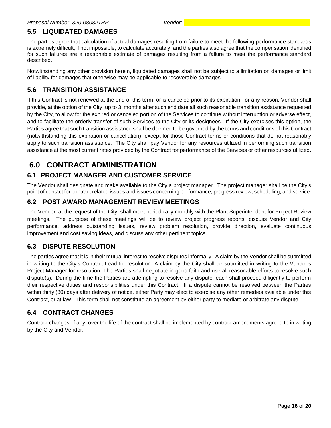#### <span id="page-15-0"></span>**5.5 LIQUIDATED DAMAGES**

The parties agree that calculation of actual damages resulting from failure to meet the following performance standards is extremely difficult, if not impossible, to calculate accurately, and the parties also agree that the compensation identified for such failures are a reasonable estimate of damages resulting from a failure to meet the performance standard described.

Notwithstanding any other provision herein, liquidated damages shall not be subject to a limitation on damages or limit of liability for damages that otherwise may be applicable to recoverable damages.

#### <span id="page-15-1"></span>**5.6 TRANSITION ASSISTANCE**

If this Contract is not renewed at the end of this term, or is canceled prior to its expiration, for any reason, Vendor shall provide, at the option of the City, up to 3 months after such end date all such reasonable transition assistance requested by the City, to allow for the expired or canceled portion of the Services to continue without interruption or adverse effect, and to facilitate the orderly transfer of such Services to the City or its designees. If the City exercises this option, the Parties agree that such transition assistance shall be deemed to be governed by the terms and conditions of this Contract (notwithstanding this expiration or cancellation), except for those Contract terms or conditions that do not reasonably apply to such transition assistance. The City shall pay Vendor for any resources utilized in performing such transition assistance at the most current rates provided by the Contract for performance of the Services or other resources utilized.

# <span id="page-15-2"></span>**6.0 CONTRACT ADMINISTRATION**

#### <span id="page-15-3"></span>**6.1 PROJECT MANAGER AND CUSTOMER SERVICE**

The Vendor shall designate and make available to the City a project manager. The project manager shall be the City's point of contact for contract related issues and issues concerning performance, progress review, scheduling, and service.

#### <span id="page-15-4"></span>**6.2 POST AWARD MANAGEMENT REVIEW MEETINGS**

The Vendor, at the request of the City, shall meet periodically monthly with the Plant Superintendent for Project Review meetings. The purpose of these meetings will be to review project progress reports, discuss Vendor and City performance, address outstanding issues, review problem resolution, provide direction, evaluate continuous improvement and cost saving ideas, and discuss any other pertinent topics.

#### <span id="page-15-5"></span>**6.3 DISPUTE RESOLUTION**

The parties agree that it is in their mutual interest to resolve disputes informally. A claim by the Vendor shall be submitted in writing to the City's Contract Lead for resolution. A claim by the City shall be submitted in writing to the Vendor's Project Manager for resolution. The Parties shall negotiate in good faith and use all reasonable efforts to resolve such dispute(s). During the time the Parties are attempting to resolve any dispute, each shall proceed diligently to perform their respective duties and responsibilities under this Contract. If a dispute cannot be resolved between the Parties within thirty (30) days after delivery of notice, either Party may elect to exercise any other remedies available under this Contract, or at law. This term shall not constitute an agreement by either party to mediate or arbitrate any dispute.

#### <span id="page-15-6"></span>**6.4 CONTRACT CHANGES**

Contract changes, if any, over the life of the contract shall be implemented by contract amendments agreed to in writing by the City and Vendor.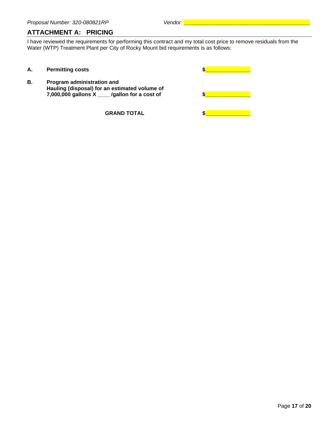#### <span id="page-16-0"></span>**ATTACHMENT A: PRICING**

I have reviewed the requirements for performing this contract and my total cost price to remove residuals from the Water (WTP) Treatment Plant per City of Rocky Mount bid requirements is as follows:

| А. | <b>Permitting costs</b>                                                                                                      |  |
|----|------------------------------------------------------------------------------------------------------------------------------|--|
| Β. | Program administration and<br>Hauling (disposal) for an estimated volume of<br>7,000,000 gallons X ___ /gallon for a cost of |  |
|    | <b>GRAND TOTAL</b>                                                                                                           |  |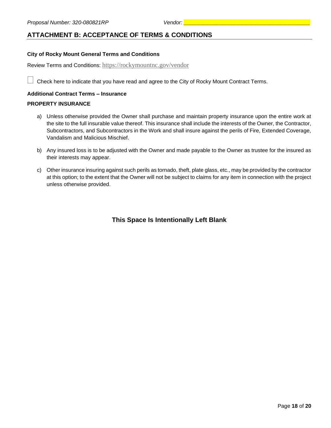#### <span id="page-17-0"></span>**ATTACHMENT B: ACCEPTANCE OF TERMS & CONDITIONS**

#### **City of Rocky Mount General Terms and Conditions**

Review Terms and Conditions: <https://rockymountnc.gov/vendor>

Check here to indicate that you have read and agree to the City of Rocky Mount Contract Terms.

#### **Additional Contract Terms – Insurance**

#### **PROPERTY INSURANCE**

- a) Unless otherwise provided the Owner shall purchase and maintain property insurance upon the entire work at the site to the full insurable value thereof. This insurance shall include the interests of the Owner, the Contractor, Subcontractors, and Subcontractors in the Work and shall insure against the perils of Fire, Extended Coverage, Vandalism and Malicious Mischief.
- b) Any insured loss is to be adjusted with the Owner and made payable to the Owner as trustee for the insured as their interests may appear.
- c) Other insurance insuring against such perils as tornado, theft, plate glass, etc., may be provided by the contractor at this option; to the extent that the Owner will not be subject to claims for any item in connection with the project unless otherwise provided.

#### **This Space Is Intentionally Left Blank**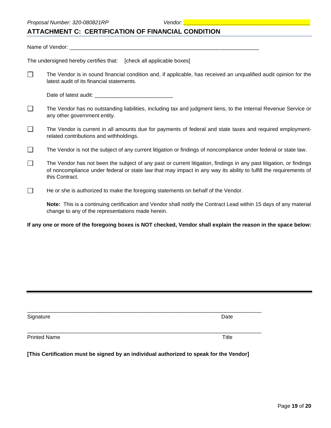#### <span id="page-18-0"></span>**ATTACHMENT C: CERTIFICATION OF FINANCIAL CONDITION**

Name of Vendor: The undersigned hereby certifies that: [check all applicable boxes]

 $\Box$ The Vendor is in sound financial condition and, if applicable, has received an unqualified audit opinion for the latest audit of its financial statements.

- $\Box$ The Vendor has no outstanding liabilities, including tax and judgment liens, to the Internal Revenue Service or any other government entity.
- $\Box$ The Vendor is current in all amounts due for payments of federal and state taxes and required employmentrelated contributions and withholdings.
- The Vendor is not the subject of any current litigation or findings of noncompliance under federal or state law.  $\Box$
- $\Box$ The Vendor has not been the subject of any past or current litigation, findings in any past litigation, or findings of noncompliance under federal or state law that may impact in any way its ability to fulfill the requirements of this Contract.
- $\Box$ He or she is authorized to make the foregoing statements on behalf of the Vendor.

**Note:** This is a continuing certification and Vendor shall notify the Contract Lead within 15 days of any material change to any of the representations made herein.

**If any one or more of the foregoing boxes is NOT checked, Vendor shall explain the reason in the space below:**

| Signature           | Date  |
|---------------------|-------|
| <b>Printed Name</b> | Title |
|                     |       |

**[This Certification must be signed by an individual authorized to speak for the Vendor]**